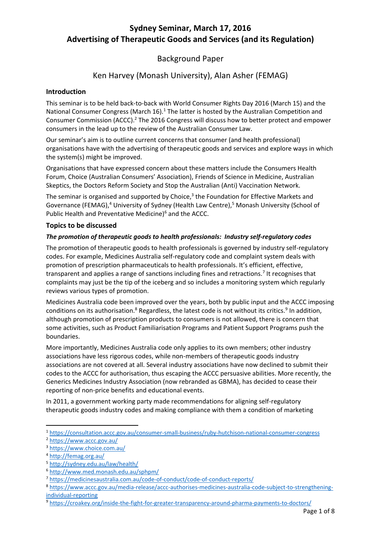### **Sydney Seminar, March 17, 2016 Advertising of Therapeutic Goods and Services (and its Regulation)**

### Background Paper

### Ken Harvey (Monash University), Alan Asher (FEMAG)

#### **Introduction**

This seminar is to be held back-to-back with World Consumer Rights Day 2016 (March 15) and the National Consumer Congress (March  $16$ ).<sup>1</sup> The latter is hosted by the Australian Competition and Consumer Commission (ACCC).<sup>2</sup> The 2016 Congress will discuss how to better protect and empower consumers in the lead up to the review of the Australian Consumer Law.

Our seminar's aim is to outline current concerns that consumer (and health professional) organisations have with the advertising of therapeutic goods and services and explore ways in which the system(s) might be improved.

Organisations that have expressed concern about these matters include the Consumers Health Forum, Choice (Australian Consumers' Association), Friends of Science in Medicine, Australian Skeptics, the Doctors Reform Society and Stop the Australian (Anti) Vaccination Network.

The seminar is organised and supported by Choice,<sup>3</sup> the Foundation for Effective Markets and Governance (FEMAG),<sup>4</sup> University of Sydney (Health Law Centre),<sup>5</sup> Monash University (School of Public Health and Preventative Medicine)<sup>6</sup> and the ACCC.

#### **Topics to be discussed**

#### *The promotion of therapeutic goods to health professionals: Industry self-regulatory codes*

The promotion of therapeutic goods to health professionals is governed by industry self-regulatory codes. For example, Medicines Australia self-regulatory code and complaint system deals with promotion of prescription pharmaceuticals to health professionals. It's efficient, effective, transparent and applies a range of sanctions including fines and retractions.<sup>7</sup> It recognises that complaints may just be the tip of the iceberg and so includes a monitoring system which regularly reviews various types of promotion.

Medicines Australia code been improved over the years, both by public input and the ACCC imposing conditions on its authorisation.<sup>8</sup> Regardless, the latest code is not without its critics.<sup>9</sup> In addition, although promotion of prescription products to consumers is not allowed, there is concern that some activities, such as Product Familiarisation Programs and Patient Support Programs push the boundaries.

More importantly, Medicines Australia code only applies to its own members; other industry associations have less rigorous codes, while non-members of therapeutic goods industry associations are not covered at all. Several industry associations have now declined to submit their codes to the ACCC for authorisation, thus escaping the ACCC persuasive abilities. More recently, the Generics Medicines Industry Association (now rebranded as GBMA), has decided to cease their reporting of non-price benefits and educational events.

In 2011, a government working party made recommendations for aligning self-regulatory therapeutic goods industry codes and making compliance with them a condition of marketing

**.** 

<sup>1</sup> <https://consultation.accc.gov.au/consumer-small-business/ruby-hutchison-national-consumer-congress>

<sup>2</sup> <https://www.accc.gov.au/>

<sup>3</sup> <https://www.choice.com.au/>

<sup>4</sup> <http://femag.org.au/>

<sup>5</sup> <http://sydney.edu.au/law/health/>

<sup>6</sup> <http://www.med.monash.edu.au/sphpm/>

<sup>7</sup> <https://medicinesaustralia.com.au/code-of-conduct/code-of-conduct-reports/>

<sup>8</sup> [https://www.accc.gov.au/media-release/accc-authorises-medicines-australia-code-subject-to-strengthening](https://www.accc.gov.au/media-release/accc-authorises-medicines-australia-code-subject-to-strengthening-individual-reporting)[individual-reporting](https://www.accc.gov.au/media-release/accc-authorises-medicines-australia-code-subject-to-strengthening-individual-reporting)

<sup>9</sup> <https://croakey.org/inside-the-fight-for-greater-transparency-around-pharma-payments-to-doctors/>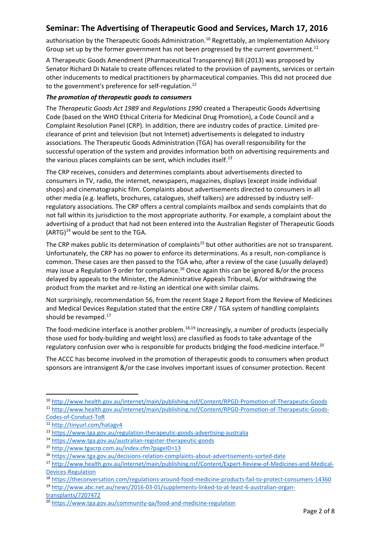authorisation by the Therapeutic Goods Administration.<sup>10</sup> Regrettably, an Implementation Advisory Group set up by the former government has not been progressed by the current government.<sup>11</sup>

A Therapeutic Goods Amendment (Pharmaceutical Transparency) Bill (2013) was proposed by Senator Richard Di Natale to create offences related to the provision of payments, services or certain other inducements to medical practitioners by pharmaceutical companies. This did not proceed due to the government's preference for self-regulation.<sup>12</sup>

#### *The promotion of therapeutic goods to consumers*

The *Therapeutic Goods Act 1989* and *Regulations 1990* created a Therapeutic Goods Advertising Code (based on the WHO Ethical Criteria for Medicinal Drug Promotion), a Code Council and a Complaint Resolution Panel (CRP). In addition, there are industry codes of practice. Limited preclearance of print and television (but not Internet) advertisements is delegated to industry associations. The Therapeutic Goods Administration (TGA) has overall responsibility for the successful operation of the system and provides information both on advertising requirements and the various places complaints can be sent, which includes itself.<sup>13</sup>

The CRP receives, considers and determines complaints about advertisements directed to consumers in TV, radio, the internet, newspapers, magazines, displays (except inside individual shops) and cinematographic film. Complaints about advertisements directed to consumers in all other media (e.g. leaflets, brochures, catalogues, shelf talkers) are addressed by industry selfregulatory associations. The CRP offers a central complaints mailbox and sends complaints that do not fall within its jurisdiction to the most appropriate authority. For example, a complaint about the advertising of a product that had not been entered into the Australian Register of Therapeutic Goods  $(ARTG)^{14}$  would be sent to the TGA.

The CRP makes public its determination of complaints<sup>15</sup> but other authorities are not so transparent. Unfortunately, the CRP has no power to enforce its determinations. As a result, non-compliance is common. These cases are then passed to the TGA who, after a review of the case (usually delayed) may issue a Regulation 9 order for compliance.<sup>16</sup> Once again this can be ignored  $\&/$  or the process delayed by appeals to the Minister, the Administrative Appeals Tribunal, &/or withdrawing the product from the market and re-listing an identical one with similar claims.

Not surprisingly, recommendation 56, from the recent Stage 2 Report from the Review of Medicines and Medical Devices Regulation stated that the entire CRP / TGA system of handling complaints should be revamped.<sup>17</sup>

The food-medicine interface is another problem.<sup>18,19</sup> Increasingly, a number of products (especially those used for body-building and weight loss) are classified as foods to take advantage of the regulatory confusion over who is responsible for products bridging the food-medicine interface.<sup>20</sup>

The ACCC has become involved in the promotion of therapeutic goods to consumers when product sponsors are intransigent &/or the case involves important issues of consumer protection. Recent

1

<sup>10</sup> <http://www.health.gov.au/internet/main/publishing.nsf/Content/RPGD-Promotion-of-Therapeutic-Goods> <sup>11</sup> [http://www.health.gov.au/internet/main/publishing.nsf/Content/RPGD-Promotion-of-Therapeutic-Goods-](http://www.health.gov.au/internet/main/publishing.nsf/Content/RPGD-Promotion-of-Therapeutic-Goods-Codes-of-Conduct-ToR)[Codes-of-Conduct-ToR](http://www.health.gov.au/internet/main/publishing.nsf/Content/RPGD-Promotion-of-Therapeutic-Goods-Codes-of-Conduct-ToR)

<sup>12</sup> <http://tinyurl.com/hatagv4>

<sup>13</sup> <https://www.tga.gov.au/regulation-therapeutic-goods-advertising-australia>

<sup>14</sup> <https://www.tga.gov.au/australian-register-therapeutic-goods>

<sup>15</sup> <http://www.tgacrp.com.au/index.cfm?pageID=13>

<sup>16</sup> <https://www.tga.gov.au/decisions-relation-complaints-about-advertisements-sorted-date>

<sup>17</sup> [http://www.health.gov.au/internet/main/publishing.nsf/Content/Expert-Review-of-Medicines-and-Medical-](http://www.health.gov.au/internet/main/publishing.nsf/Content/Expert-Review-of-Medicines-and-Medical-Devices-Regulation)[Devices-Regulation](http://www.health.gov.au/internet/main/publishing.nsf/Content/Expert-Review-of-Medicines-and-Medical-Devices-Regulation)

<sup>18</sup> <https://theconversation.com/regulations-around-food-medicine-products-fail-to-protect-consumers-14360>

<sup>19</sup> [http://www.abc.net.au/news/2016-03-01/supplements-linked-to-at-least-6-australian-organ](http://www.abc.net.au/news/2016-03-01/supplements-linked-to-at-least-6-australian-organ-transplants/7207472)[transplants/7207472](http://www.abc.net.au/news/2016-03-01/supplements-linked-to-at-least-6-australian-organ-transplants/7207472)

<sup>20</sup> <https://www.tga.gov.au/community-qa/food-and-medicine-regulation>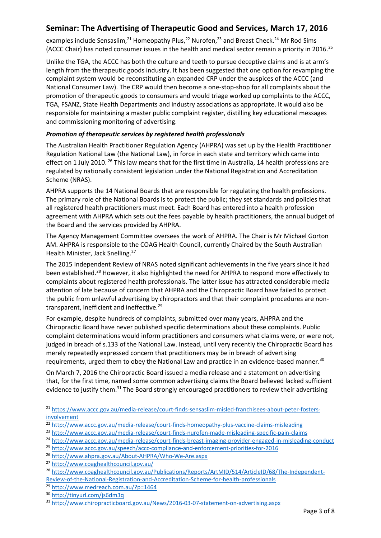examples include Sensaslim,<sup>21</sup> Homeopathy Plus,<sup>22</sup> Nurofen,<sup>23</sup> and Breast Check.<sup>24</sup> Mr Rod Sims (ACCC Chair) has noted consumer issues in the health and medical sector remain a priority in 2016.<sup>25</sup>

Unlike the TGA, the ACCC has both the culture and teeth to pursue deceptive claims and is at arm's length from the therapeutic goods industry. It has been suggested that one option for revamping the complaint system would be reconstituting an expanded CRP under the auspices of the ACCC (and National Consumer Law). The CRP would then become a one-stop-shop for all complaints about the promotion of therapeutic goods to consumers and would triage worked up complaints to the ACCC, TGA, FSANZ, State Health Departments and industry associations as appropriate. It would also be responsible for maintaining a master public complaint register, distilling key educational messages and commissioning monitoring of advertising.

#### *Promotion of therapeutic services by registered health professionals*

The Australian Health Practitioner Regulation Agency (AHPRA) was set up by the Health Practitioner Regulation National Law (the National Law), in force in each state and territory which came into effect on 1 July 2010. <sup>26</sup> This law means that for the first time in Australia, 14 health professions are regulated by nationally consistent legislation under the National Registration and Accreditation Scheme (NRAS).

AHPRA supports the 14 National Boards that are responsible for regulating the health professions. The primary role of the National Boards is to protect the public; they set standards and policies that all registered health practitioners must meet. Each Board has entered into a health profession agreement with AHPRA which sets out the fees payable by health practitioners, the annual budget of the Board and the services provided by AHPRA.

The Agency Management Committee oversees the work of AHPRA. The Chair is Mr Michael Gorton AM. AHPRA is responsible to the COAG Health Council, currently Chaired by the South Australian Health Minister, Jack Snelling.<sup>27</sup>

The 2015 Independent Review of NRAS noted significant achievements in the five years since it had been established.<sup>28</sup> However, it also highlighted the need for AHPRA to respond more effectively to complaints about registered health professionals. The latter issue has attracted considerable media attention of late because of concern that AHPRA and the Chiropractic Board have failed to protect the public from unlawful advertising by chiropractors and that their complaint procedures are nontransparent, inefficient and ineffective.<sup>29</sup>

For example, despite hundreds of complaints, submitted over many years, AHPRA and the Chiropractic Board have never published specific determinations about these complaints. Public complaint determinations would inform practitioners and consumers what claims were, or were not, judged in breach of s.133 of the National Law. Instead, until very recently the Chiropractic Board has merely repeatedly expressed concern that practitioners may be in breach of advertising requirements, urged them to obey the National Law and practice in an evidence-based manner.<sup>30</sup>

On March 7, 2016 the Chiropractic Board issued a media release and a statement on advertising that, for the first time, named some common advertising claims the Board believed lacked sufficient evidence to justify them.<sup>31</sup> The Board strongly encouraged practitioners to review their advertising

**.** 

<sup>21</sup> [https://www.accc.gov.au/media-release/court-finds-sensaslim-misled-franchisees-about-peter-fosters](https://www.accc.gov.au/media-release/court-finds-sensaslim-misled-franchisees-about-peter-fosters-involvement)[involvement](https://www.accc.gov.au/media-release/court-finds-sensaslim-misled-franchisees-about-peter-fosters-involvement)

<sup>22</sup> <http://www.accc.gov.au/media-release/court-finds-homeopathy-plus-vaccine-claims-misleading>

<sup>23</sup> <http://www.accc.gov.au/media-release/court-finds-nurofen-made-misleading-specific-pain-claims>

<sup>24</sup> <http://www.accc.gov.au/media-release/court-finds-breast-imaging-provider-engaged-in-misleading-conduct>

<sup>25</sup> <http://www.accc.gov.au/speech/accc-compliance-and-enforcement-priorities-for-2016>

<sup>26</sup> <http://www.ahpra.gov.au/About-AHPRA/Who-We-Are.aspx>

<sup>27</sup> <http://www.coaghealthcouncil.gov.au/>

<sup>28</sup> [http://www.coaghealthcouncil.gov.au/Publications/Reports/ArtMID/514/ArticleID/68/The-Independent-](http://www.coaghealthcouncil.gov.au/Publications/Reports/ArtMID/514/ArticleID/68/The-Independent-Review-of-the-National-Registration-and-Accreditation-Scheme-for-health-professionals)[Review-of-the-National-Registration-and-Accreditation-Scheme-for-health-professionals](http://www.coaghealthcouncil.gov.au/Publications/Reports/ArtMID/514/ArticleID/68/The-Independent-Review-of-the-National-Registration-and-Accreditation-Scheme-for-health-professionals)

<sup>29</sup> <http://www.medreach.com.au/?p=1464>

<sup>30</sup> <http://tinyurl.com/js6dm3q>

<sup>31</sup> <http://www.chiropracticboard.gov.au/News/2016-03-07-statement-on-advertising.aspx>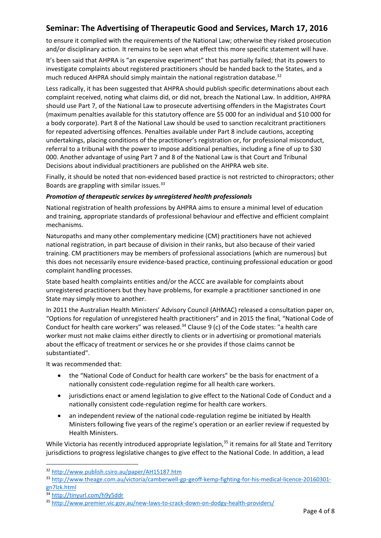to ensure it complied with the requirements of the National Law; otherwise they risked prosecution and/or disciplinary action. It remains to be seen what effect this more specific statement will have.

It's been said that AHPRA is "an expensive experiment" that has partially failed; that its powers to investigate complaints about registered practitioners should be handed back to the States, and a much reduced AHPRA should simply maintain the national registration database.<sup>32</sup>

Less radically, it has been suggested that AHPRA should publish specific determinations about each complaint received, noting what claims did, or did not, breach the National Law. In addition, AHPRA should use Part 7, of the National Law to prosecute advertising offenders in the Magistrates Court (maximum penalties available for this statutory offence are \$5 000 for an individual and \$10 000 for a body corporate). Part 8 of the National Law should be used to sanction recalcitrant practitioners for repeated advertising offences. Penalties available under Part 8 include cautions, accepting undertakings, placing conditions of the practitioner's registration or, for professional misconduct, referral to a tribunal with the power to impose additional penalties, including a fine of up to \$30 000. Another advantage of using Part 7 and 8 of the National Law is that Court and Tribunal Decisions about individual practitioners are published on the AHPRA web site.

Finally, it should be noted that non-evidenced based practice is not restricted to chiropractors; other Boards are grappling with similar issues.<sup>33</sup>

#### *Promotion of therapeutic services by unregistered health professionals*

National registration of health professions by AHPRA aims to ensure a minimal level of education and training, appropriate standards of professional behaviour and effective and efficient complaint mechanisms.

Naturopaths and many other complementary medicine (CM) practitioners have not achieved national registration, in part because of division in their ranks, but also because of their varied training. CM practitioners may be members of professional associations (which are numerous) but this does not necessarily ensure evidence-based practice, continuing professional education or good complaint handling processes.

State based health complaints entities and/or the ACCC are available for complaints about unregistered practitioners but they have problems, for example a practitioner sanctioned in one State may simply move to another.

In 2011 the Australian Health Ministers' Advisory Council (AHMAC) released a consultation paper on, "Options for regulation of unregistered health practitioners" and in 2015 the final, "National Code of Conduct for health care workers" was released. $34$  Clause 9 (c) of the Code states: "a health care worker must not make claims either directly to clients or in advertising or promotional materials about the efficacy of treatment or services he or she provides if those claims cannot be substantiated".

It was recommended that:

- the "National Code of Conduct for health care workers" be the basis for enactment of a nationally consistent code-regulation regime for all health care workers.
- iurisdictions enact or amend legislation to give effect to the National Code of Conduct and a nationally consistent code-regulation regime for health care workers.
- an independent review of the national code-regulation regime be initiated by Health Ministers following five years of the regime's operation or an earlier review if requested by Health Ministers.

While Victoria has recently introduced appropriate legislation,<sup>35</sup> it remains for all State and Territory jurisdictions to progress legislative changes to give effect to the National Code. In addition, a lead

 $\overline{a}$ 

<sup>32</sup> <http://www.publish.csiro.au/paper/AH15187.htm>

<sup>33</sup> [http://www.theage.com.au/victoria/camberwell-gp-geoff-kemp-fighting-for-his-medical-licence-20160301](http://www.theage.com.au/victoria/camberwell-gp-geoff-kemp-fighting-for-his-medical-licence-20160301-gn7lzk.html) [gn7lzk.html](http://www.theage.com.au/victoria/camberwell-gp-geoff-kemp-fighting-for-his-medical-licence-20160301-gn7lzk.html)

<sup>34</sup> <http://tinyurl.com/h9y5ddr>

<sup>35</sup> <http://www.premier.vic.gov.au/new-laws-to-crack-down-on-dodgy-health-providers/>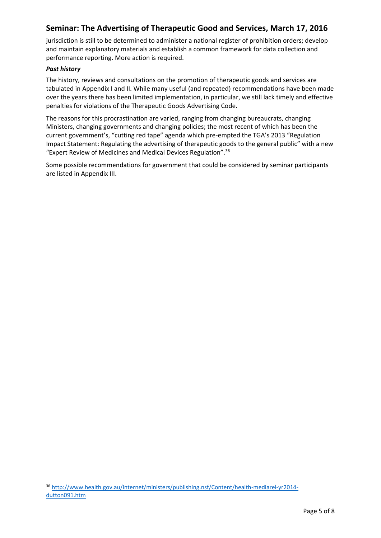jurisdiction is still to be determined to administer a national register of prohibition orders; develop and maintain explanatory materials and establish a common framework for data collection and performance reporting. More action is required.

#### *Past history*

**.** 

The history, reviews and consultations on the promotion of therapeutic goods and services are tabulated in Appendix I and II. While many useful (and repeated) recommendations have been made over the years there has been limited implementation, in particular, we still lack timely and effective penalties for violations of the Therapeutic Goods Advertising Code.

The reasons for this procrastination are varied, ranging from changing bureaucrats, changing Ministers, changing governments and changing policies; the most recent of which has been the current government's, "cutting red tape" agenda which pre-empted the TGA's 2013 "Regulation Impact Statement: Regulating the advertising of therapeutic goods to the general public" with a new "Expert Review of Medicines and Medical Devices Regulation".<sup>36</sup>

Some possible recommendations for government that could be considered by seminar participants are listed in Appendix III.

<sup>36</sup> [http://www.health.gov.au/internet/ministers/publishing.nsf/Content/health-mediarel-yr2014](http://www.health.gov.au/internet/ministers/publishing.nsf/Content/health-mediarel-yr2014-dutton091.htm) [dutton091.htm](http://www.health.gov.au/internet/ministers/publishing.nsf/Content/health-mediarel-yr2014-dutton091.htm)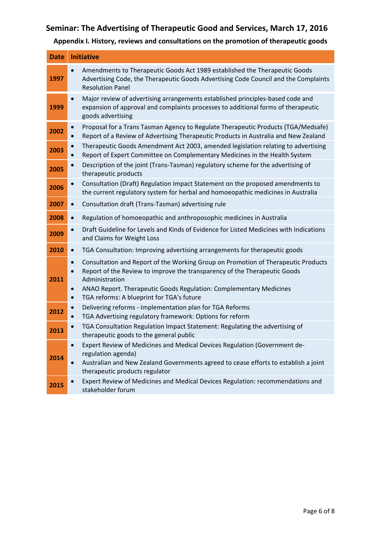**Appendix I. History, reviews and consultations on the promotion of therapeutic goods**

| <b>Date</b> | <b>Initiative</b>                                                                                                                                                                                                                                                                                                                                       |
|-------------|---------------------------------------------------------------------------------------------------------------------------------------------------------------------------------------------------------------------------------------------------------------------------------------------------------------------------------------------------------|
| 1997        | Amendments to Therapeutic Goods Act 1989 established the Therapeutic Goods<br>$\bullet$<br>Advertising Code, the Therapeutic Goods Advertising Code Council and the Complaints<br><b>Resolution Panel</b>                                                                                                                                               |
| 1999        | Major review of advertising arrangements established principles-based code and<br>$\bullet$<br>expansion of approval and complaints processes to additional forms of therapeutic<br>goods advertising                                                                                                                                                   |
| 2002        | Proposal for a Trans Tasman Agency to Regulate Therapeutic Products (TGA/Medsafe)<br>$\bullet$<br>Report of a Review of Advertising Therapeutic Products in Australia and New Zealand<br>$\bullet$                                                                                                                                                      |
| 2003        | Therapeutic Goods Amendment Act 2003, amended legislation relating to advertising<br>$\bullet$<br>Report of Expert Committee on Complementary Medicines in the Health System<br>$\bullet$                                                                                                                                                               |
| 2005        | Description of the joint (Trans-Tasman) regulatory scheme for the advertising of<br>therapeutic products                                                                                                                                                                                                                                                |
| 2006        | Consultation (Draft) Regulation Impact Statement on the proposed amendments to<br>$\bullet$<br>the current regulatory system for herbal and homoeopathic medicines in Australia                                                                                                                                                                         |
| 2007        | Consultation draft (Trans-Tasman) advertising rule<br>$\bullet$                                                                                                                                                                                                                                                                                         |
| 2008        | Regulation of homoeopathic and anthroposophic medicines in Australia                                                                                                                                                                                                                                                                                    |
| 2009        | Draft Guideline for Levels and Kinds of Evidence for Listed Medicines with Indications<br>$\bullet$<br>and Claims for Weight Loss                                                                                                                                                                                                                       |
| 2010        | TGA Consultation: Improving advertising arrangements for therapeutic goods<br>$\bullet$                                                                                                                                                                                                                                                                 |
| 2011        | Consultation and Report of the Working Group on Promotion of Therapeutic Products<br>$\bullet$<br>Report of the Review to improve the transparency of the Therapeutic Goods<br>$\bullet$<br>Administration<br>ANAO Report. Therapeutic Goods Regulation: Complementary Medicines<br>$\bullet$<br>TGA reforms: A blueprint for TGA's future<br>$\bullet$ |
| 2012        | Delivering reforms - Implementation plan for TGA Reforms<br>$\bullet$<br>TGA Advertising regulatory framework: Options for reform<br>$\bullet$                                                                                                                                                                                                          |
| 2013        | TGA Consultation Regulation Impact Statement: Regulating the advertising of<br>therapeutic goods to the general public                                                                                                                                                                                                                                  |
| 2014        | Expert Review of Medicines and Medical Devices Regulation (Government de-<br>$\bullet$<br>regulation agenda)<br>Australian and New Zealand Governments agreed to cease efforts to establish a joint<br>$\bullet$<br>therapeutic products regulator                                                                                                      |
| 2015        | Expert Review of Medicines and Medical Devices Regulation: recommendations and<br>$\bullet$<br>stakeholder forum                                                                                                                                                                                                                                        |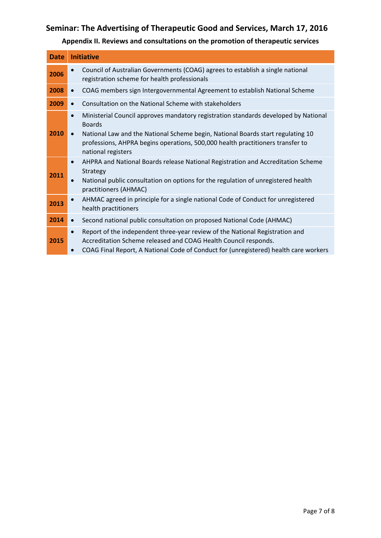**Appendix II. Reviews and consultations on the promotion of therapeutic services**

| <b>Date</b> | <b>Initiative</b>                                                                                                                                                                                                                                                                                                         |
|-------------|---------------------------------------------------------------------------------------------------------------------------------------------------------------------------------------------------------------------------------------------------------------------------------------------------------------------------|
| 2006        | Council of Australian Governments (COAG) agrees to establish a single national<br>registration scheme for health professionals                                                                                                                                                                                            |
| 2008        | COAG members sign Intergovernmental Agreement to establish National Scheme<br>$\bullet$                                                                                                                                                                                                                                   |
| 2009        | Consultation on the National Scheme with stakeholders<br>$\bullet$                                                                                                                                                                                                                                                        |
| 2010        | Ministerial Council approves mandatory registration standards developed by National<br>$\bullet$<br><b>Boards</b><br>National Law and the National Scheme begin, National Boards start regulating 10<br>$\bullet$<br>professions, AHPRA begins operations, 500,000 health practitioners transfer to<br>national registers |
| 2011        | AHPRA and National Boards release National Registration and Accreditation Scheme<br>$\bullet$<br>Strategy<br>National public consultation on options for the regulation of unregistered health<br>practitioners (AHMAC)                                                                                                   |
| 2013        | AHMAC agreed in principle for a single national Code of Conduct for unregistered<br>$\bullet$<br>health practitioners                                                                                                                                                                                                     |
| 2014        | Second national public consultation on proposed National Code (AHMAC)<br>$\bullet$                                                                                                                                                                                                                                        |
| 2015        | Report of the independent three-year review of the National Registration and<br>$\bullet$<br>Accreditation Scheme released and COAG Health Council responds.<br>COAG Final Report, A National Code of Conduct for (unregistered) health care workers                                                                      |